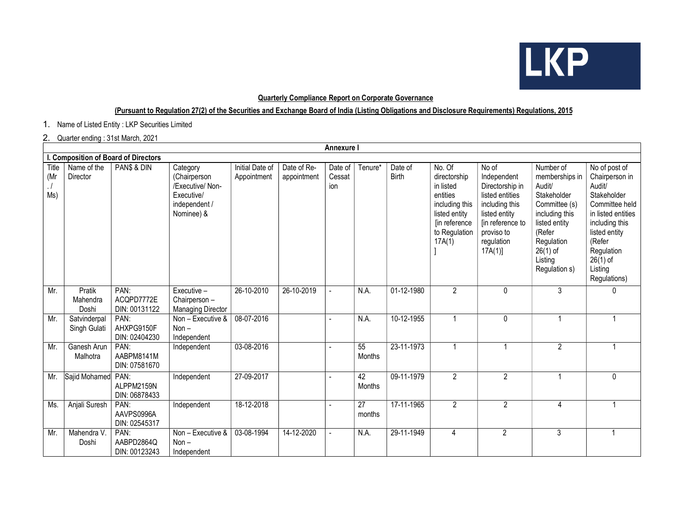

## Quarterly Compliance Report on Corporate Governance

## (Pursuant to Regulation 27(2) of the Securities and Exchange Board of India (Listing Obligations and Disclosure Requirements) Regulations, 2015

1. Name of Listed Entity : LKP Securities Limited

## 2. Quarter ending : 31st March, 2021

|                                  | <b>Annexure I</b>                    |                                     |                                                                                           |                                |                            |                          |                           |                         |                                                                                                                                |                                                                                                                                                         |                                                                                                                                                                            |                                                                                                                                                                                                      |
|----------------------------------|--------------------------------------|-------------------------------------|-------------------------------------------------------------------------------------------|--------------------------------|----------------------------|--------------------------|---------------------------|-------------------------|--------------------------------------------------------------------------------------------------------------------------------|---------------------------------------------------------------------------------------------------------------------------------------------------------|----------------------------------------------------------------------------------------------------------------------------------------------------------------------------|------------------------------------------------------------------------------------------------------------------------------------------------------------------------------------------------------|
|                                  | I. Composition of Board of Directors |                                     |                                                                                           |                                |                            |                          |                           |                         |                                                                                                                                |                                                                                                                                                         |                                                                                                                                                                            |                                                                                                                                                                                                      |
| Title<br>(Mr<br>$\cdot$ /<br>Ms) | Name of the<br>Director              | PAN\$ & DIN                         | Category<br>(Chairperson<br>/Executive/ Non-<br>Executive/<br>independent /<br>Nominee) & | Initial Date of<br>Appointment | Date of Re-<br>appointment | Date of<br>Cessat<br>ion | Tenure*                   | Date of<br><b>Birth</b> | No. Of<br>directorship<br>in listed<br>entities<br>including this<br>listed entity<br>[in reference<br>to Regulation<br>17A(1) | No of<br>Independent<br>Directorship in<br>listed entities<br>including this<br>listed entity<br>[in reference to<br>proviso to<br>regulation<br>17A(1) | Number of<br>memberships in<br>Audit/<br>Stakeholder<br>Committee (s)<br>including this<br>listed entity<br>(Refer<br>Regulation<br>$26(1)$ of<br>Listing<br>Regulation s) | No of post of<br>Chairperson in<br>Audit/<br>Stakeholder<br>Committee held<br>in listed entities<br>including this<br>listed entity<br>(Refer<br>Regulation<br>$26(1)$ of<br>Listing<br>Regulations) |
| Mr.                              | Pratik<br>Mahendra<br>Doshi          | PAN:<br>ACQPD7772E<br>DIN: 00131122 | Executive -<br>Chairperson -<br><b>Managing Director</b>                                  | 26-10-2010                     | 26-10-2019                 |                          | N.A.                      | 01-12-1980              | $\overline{2}$                                                                                                                 | $\mathbf{0}$                                                                                                                                            | 3                                                                                                                                                                          | 0                                                                                                                                                                                                    |
| Mr.                              | Satvinderpal<br>Singh Gulati         | PAN:<br>AHXPG9150F<br>DIN: 02404230 | Non - Executive &<br>$Non -$<br>Independent                                               | 08-07-2016                     |                            |                          | N.A.                      | 10-12-1955              | $\mathbf 1$                                                                                                                    | $\pmb{0}$                                                                                                                                               |                                                                                                                                                                            | 1                                                                                                                                                                                                    |
| Mr.                              | Ganesh Arun<br>Malhotra              | PAN:<br>AABPM8141M<br>DIN: 07581670 | Independent                                                                               | 03-08-2016                     |                            |                          | $\overline{55}$<br>Months | 23-11-1973              | 1                                                                                                                              |                                                                                                                                                         | $\overline{2}$                                                                                                                                                             | $\mathbf{1}$                                                                                                                                                                                         |
| Mr.                              | Sajid Mohamed                        | PAN:<br>ALPPM2159N<br>DIN: 06878433 | Independent                                                                               | 27-09-2017                     |                            |                          | 42<br>Months              | 09-11-1979              | $\overline{2}$                                                                                                                 | $\overline{2}$                                                                                                                                          |                                                                                                                                                                            | 0                                                                                                                                                                                                    |
| Ms.                              | Anjali Suresh                        | PAN:<br>AAVPS0996A<br>DIN: 02545317 | Independent                                                                               | 18-12-2018                     |                            |                          | $\overline{27}$<br>months | 17-11-1965              | $\overline{2}$                                                                                                                 | $\overline{2}$                                                                                                                                          | 4                                                                                                                                                                          | $\overline{1}$                                                                                                                                                                                       |
| Mr.                              | Mahendra V.<br>Doshi                 | PAN:<br>AABPD2864Q<br>DIN: 00123243 | Non - Executive &<br>$Non -$<br>Independent                                               | 03-08-1994                     | 14-12-2020                 |                          | N.A.                      | 29-11-1949              | 4                                                                                                                              | $\overline{2}$                                                                                                                                          | 3                                                                                                                                                                          |                                                                                                                                                                                                      |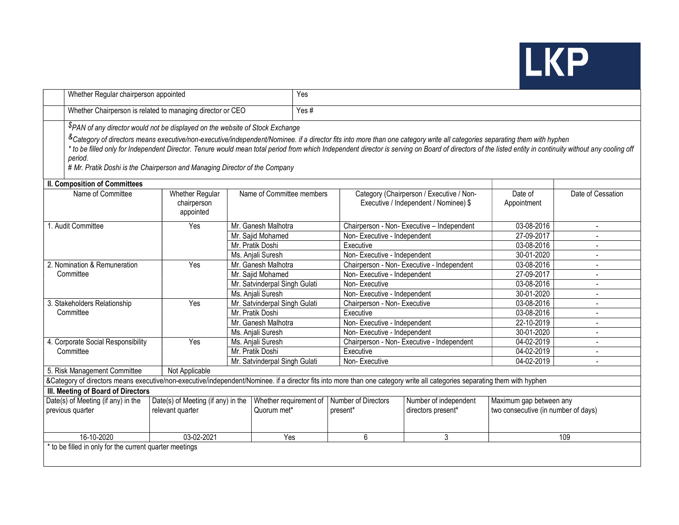

| Whether Regular chairperson appointed                                                                                                                                                                                                                                                                                                                                                                                                                                                                                                                                                                                                                                                                                                                                       |                                                            |                   | Yes                                   |                                 |                                             |                                                                |                          |  |  |  |
|-----------------------------------------------------------------------------------------------------------------------------------------------------------------------------------------------------------------------------------------------------------------------------------------------------------------------------------------------------------------------------------------------------------------------------------------------------------------------------------------------------------------------------------------------------------------------------------------------------------------------------------------------------------------------------------------------------------------------------------------------------------------------------|------------------------------------------------------------|-------------------|---------------------------------------|---------------------------------|---------------------------------------------|----------------------------------------------------------------|--------------------------|--|--|--|
|                                                                                                                                                                                                                                                                                                                                                                                                                                                                                                                                                                                                                                                                                                                                                                             | Whether Chairperson is related to managing director or CEO |                   |                                       |                                 | Yes#                                        |                                                                |                          |  |  |  |
| <sup>\$</sup> PAN of any director would not be displayed on the website of Stock Exchange<br>&Category of directors means executive/non-executive/independent/Nominee. if a director fits into more than one category write all categories separating them with hyphen<br>* to be filled only for Independent Director. Tenure would mean total period from which Independent director is serving on Board of directors of the listed entity in continuity without any cooling off<br>period.<br># Mr. Pratik Doshi is the Chairperson and Managing Director of the Company<br><b>II. Composition of Committees</b><br>Category (Chairperson / Executive / Non-<br>Date of Cessation<br>Name of Committee<br><b>Whether Regular</b><br>Name of Committee members<br>Date of |                                                            |                   |                                       |                                 |                                             |                                                                |                          |  |  |  |
|                                                                                                                                                                                                                                                                                                                                                                                                                                                                                                                                                                                                                                                                                                                                                                             | chairperson<br>appointed                                   |                   | Executive / Independent / Nominee) \$ |                                 | Appointment                                 |                                                                |                          |  |  |  |
| 1. Audit Committee                                                                                                                                                                                                                                                                                                                                                                                                                                                                                                                                                                                                                                                                                                                                                          | Yes                                                        |                   | Mr. Ganesh Malhotra                   |                                 | Chairperson - Non- Executive - Independent  | 03-08-2016                                                     | $\overline{\phantom{a}}$ |  |  |  |
|                                                                                                                                                                                                                                                                                                                                                                                                                                                                                                                                                                                                                                                                                                                                                                             |                                                            |                   | Mr. Sajid Mohamed                     | Non-Executive - Independent     |                                             | 27-09-2017                                                     |                          |  |  |  |
|                                                                                                                                                                                                                                                                                                                                                                                                                                                                                                                                                                                                                                                                                                                                                                             |                                                            | Mr. Pratik Doshi  |                                       | Executive                       |                                             |                                                                |                          |  |  |  |
|                                                                                                                                                                                                                                                                                                                                                                                                                                                                                                                                                                                                                                                                                                                                                                             |                                                            | Ms. Anjali Suresh |                                       |                                 | Non-Executive - Independent                 |                                                                |                          |  |  |  |
| 2. Nomination & Remuneration                                                                                                                                                                                                                                                                                                                                                                                                                                                                                                                                                                                                                                                                                                                                                | Yes                                                        |                   | Mr. Ganesh Malhotra                   |                                 | Chairperson - Non- Executive - Independent  | 03-08-2016                                                     | $\overline{\phantom{a}}$ |  |  |  |
| Committee                                                                                                                                                                                                                                                                                                                                                                                                                                                                                                                                                                                                                                                                                                                                                                   |                                                            |                   | Mr. Sajid Mohamed                     | Non-Executive - Independent     |                                             | 27-09-2017                                                     |                          |  |  |  |
|                                                                                                                                                                                                                                                                                                                                                                                                                                                                                                                                                                                                                                                                                                                                                                             |                                                            |                   | Mr. Satvinderpal Singh Gulati         | Non-Executive                   |                                             | 03-08-2016                                                     |                          |  |  |  |
|                                                                                                                                                                                                                                                                                                                                                                                                                                                                                                                                                                                                                                                                                                                                                                             |                                                            |                   | Ms. Anjali Suresh                     | Non-Executive - Independent     |                                             | 30-01-2020                                                     |                          |  |  |  |
| 3. Stakeholders Relationship                                                                                                                                                                                                                                                                                                                                                                                                                                                                                                                                                                                                                                                                                                                                                | Yes                                                        |                   | Mr. Satvinderpal Singh Gulati         | Chairperson - Non- Executive    |                                             | 03-08-2016                                                     |                          |  |  |  |
| Committee                                                                                                                                                                                                                                                                                                                                                                                                                                                                                                                                                                                                                                                                                                                                                                   |                                                            | Mr. Pratik Doshi  |                                       | Executive                       |                                             | 03-08-2016                                                     |                          |  |  |  |
|                                                                                                                                                                                                                                                                                                                                                                                                                                                                                                                                                                                                                                                                                                                                                                             |                                                            |                   | Mr. Ganesh Malhotra                   | Non-Executive - Independent     |                                             | 22-10-2019                                                     | $\overline{a}$           |  |  |  |
|                                                                                                                                                                                                                                                                                                                                                                                                                                                                                                                                                                                                                                                                                                                                                                             |                                                            |                   | Ms. Anjali Suresh                     | Non-Executive - Independent     |                                             | 30-01-2020                                                     | $\overline{a}$           |  |  |  |
| 4. Corporate Social Responsibility                                                                                                                                                                                                                                                                                                                                                                                                                                                                                                                                                                                                                                                                                                                                          | Yes<br>Ms. Anjali Suresh<br>Mr. Pratik Doshi               |                   |                                       |                                 | Chairperson - Non- Executive - Independent  | 04-02-2019<br>04-02-2019                                       | $\overline{a}$           |  |  |  |
| Committee                                                                                                                                                                                                                                                                                                                                                                                                                                                                                                                                                                                                                                                                                                                                                                   |                                                            |                   |                                       | Executive                       |                                             |                                                                |                          |  |  |  |
|                                                                                                                                                                                                                                                                                                                                                                                                                                                                                                                                                                                                                                                                                                                                                                             |                                                            |                   | Mr. Satvinderpal Singh Gulati         | Non-Executive                   |                                             | 04-02-2019                                                     | $\blacksquare$           |  |  |  |
| 5. Risk Management Committee                                                                                                                                                                                                                                                                                                                                                                                                                                                                                                                                                                                                                                                                                                                                                | Not Applicable                                             |                   |                                       |                                 |                                             |                                                                |                          |  |  |  |
| &Category of directors means executive/non-executive/independent/Nominee. if a director fits into more than one category write all categories separating them with hyphen                                                                                                                                                                                                                                                                                                                                                                                                                                                                                                                                                                                                   |                                                            |                   |                                       |                                 |                                             |                                                                |                          |  |  |  |
| III. Meeting of Board of Directors                                                                                                                                                                                                                                                                                                                                                                                                                                                                                                                                                                                                                                                                                                                                          |                                                            |                   |                                       |                                 |                                             |                                                                |                          |  |  |  |
| Date(s) of Meeting (if any) in the<br>previous quarter                                                                                                                                                                                                                                                                                                                                                                                                                                                                                                                                                                                                                                                                                                                      | Date(s) of Meeting (if any) in the<br>relevant quarter     |                   | Whether requirement of<br>Quorum met* | Number of Directors<br>present* | Number of independent<br>directors present* | Maximum gap between any<br>two consecutive (in number of days) |                          |  |  |  |
| 16-10-2020                                                                                                                                                                                                                                                                                                                                                                                                                                                                                                                                                                                                                                                                                                                                                                  | 03-02-2021                                                 |                   | Yes                                   | 6                               | 3                                           |                                                                | 109                      |  |  |  |
| * to be filled in only for the current quarter meetings                                                                                                                                                                                                                                                                                                                                                                                                                                                                                                                                                                                                                                                                                                                     |                                                            |                   |                                       |                                 |                                             |                                                                |                          |  |  |  |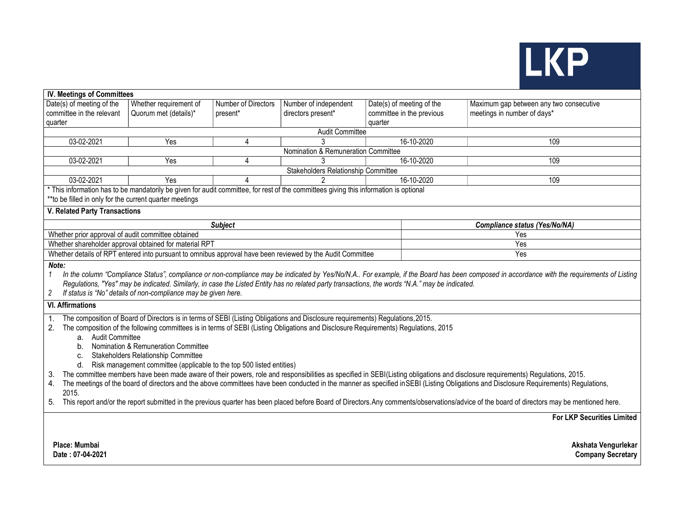

| IV. Meetings of Committees                                                                                                                                                                                                                                                                                                                                                                                                                                                                                                                                                                                                                                                                                                                                                                                                                                                       |                                                        |                     |                                                                                                                                       |                           |                                                                                                                                                                                              |  |  |
|----------------------------------------------------------------------------------------------------------------------------------------------------------------------------------------------------------------------------------------------------------------------------------------------------------------------------------------------------------------------------------------------------------------------------------------------------------------------------------------------------------------------------------------------------------------------------------------------------------------------------------------------------------------------------------------------------------------------------------------------------------------------------------------------------------------------------------------------------------------------------------|--------------------------------------------------------|---------------------|---------------------------------------------------------------------------------------------------------------------------------------|---------------------------|----------------------------------------------------------------------------------------------------------------------------------------------------------------------------------------------|--|--|
| Date(s) of meeting of the                                                                                                                                                                                                                                                                                                                                                                                                                                                                                                                                                                                                                                                                                                                                                                                                                                                        | Whether requirement of                                 | Number of Directors | Number of independent                                                                                                                 | Date(s) of meeting of the | Maximum gap between any two consecutive                                                                                                                                                      |  |  |
| committee in the relevant                                                                                                                                                                                                                                                                                                                                                                                                                                                                                                                                                                                                                                                                                                                                                                                                                                                        | Quorum met (details)*                                  | present*            | directors present*                                                                                                                    | committee in the previous | meetings in number of days*                                                                                                                                                                  |  |  |
| quarter                                                                                                                                                                                                                                                                                                                                                                                                                                                                                                                                                                                                                                                                                                                                                                                                                                                                          |                                                        |                     |                                                                                                                                       | quarter                   |                                                                                                                                                                                              |  |  |
| Audit Committee                                                                                                                                                                                                                                                                                                                                                                                                                                                                                                                                                                                                                                                                                                                                                                                                                                                                  |                                                        |                     |                                                                                                                                       |                           |                                                                                                                                                                                              |  |  |
| 03-02-2021                                                                                                                                                                                                                                                                                                                                                                                                                                                                                                                                                                                                                                                                                                                                                                                                                                                                       | Yes                                                    | 4                   |                                                                                                                                       | 16-10-2020                | 109                                                                                                                                                                                          |  |  |
|                                                                                                                                                                                                                                                                                                                                                                                                                                                                                                                                                                                                                                                                                                                                                                                                                                                                                  | Nomination & Remuneration Committee                    |                     |                                                                                                                                       |                           |                                                                                                                                                                                              |  |  |
| 03-02-2021                                                                                                                                                                                                                                                                                                                                                                                                                                                                                                                                                                                                                                                                                                                                                                                                                                                                       | Yes                                                    | 4                   |                                                                                                                                       | 16-10-2020                | 109                                                                                                                                                                                          |  |  |
|                                                                                                                                                                                                                                                                                                                                                                                                                                                                                                                                                                                                                                                                                                                                                                                                                                                                                  |                                                        |                     | Stakeholders Relationship Committee                                                                                                   |                           |                                                                                                                                                                                              |  |  |
| 03-02-2021                                                                                                                                                                                                                                                                                                                                                                                                                                                                                                                                                                                                                                                                                                                                                                                                                                                                       | Yes                                                    | 4                   |                                                                                                                                       | 16-10-2020                | 109                                                                                                                                                                                          |  |  |
| ** to be filled in only for the current quarter meetings                                                                                                                                                                                                                                                                                                                                                                                                                                                                                                                                                                                                                                                                                                                                                                                                                         |                                                        |                     | * This information has to be mandatorily be given for audit committee, for rest of the committees giving this information is optional |                           |                                                                                                                                                                                              |  |  |
| V. Related Party Transactions                                                                                                                                                                                                                                                                                                                                                                                                                                                                                                                                                                                                                                                                                                                                                                                                                                                    |                                                        |                     |                                                                                                                                       |                           |                                                                                                                                                                                              |  |  |
|                                                                                                                                                                                                                                                                                                                                                                                                                                                                                                                                                                                                                                                                                                                                                                                                                                                                                  |                                                        | <b>Subject</b>      |                                                                                                                                       |                           | Compliance status (Yes/No/NA)                                                                                                                                                                |  |  |
| Whether prior approval of audit committee obtained                                                                                                                                                                                                                                                                                                                                                                                                                                                                                                                                                                                                                                                                                                                                                                                                                               |                                                        |                     |                                                                                                                                       |                           | Yes                                                                                                                                                                                          |  |  |
|                                                                                                                                                                                                                                                                                                                                                                                                                                                                                                                                                                                                                                                                                                                                                                                                                                                                                  | Whether shareholder approval obtained for material RPT |                     |                                                                                                                                       |                           | Yes                                                                                                                                                                                          |  |  |
|                                                                                                                                                                                                                                                                                                                                                                                                                                                                                                                                                                                                                                                                                                                                                                                                                                                                                  |                                                        |                     | Whether details of RPT entered into pursuant to omnibus approval have been reviewed by the Audit Committee                            |                           | Yes                                                                                                                                                                                          |  |  |
| In the column "Compliance Status", compliance or non-compliance may be indicated by Yes/No/N.A For example, if the Board has been composed in accordance with the requirements of Listing<br>$\mathbf{1}$<br>Regulations, "Yes" may be indicated. Similarly, in case the Listed Entity has no related party transactions, the words "N.A." may be indicated.<br>If status is "No" details of non-compliance may be given here.<br>2                                                                                                                                                                                                                                                                                                                                                                                                                                              |                                                        |                     |                                                                                                                                       |                           |                                                                                                                                                                                              |  |  |
| <b>VI. Affirmations</b>                                                                                                                                                                                                                                                                                                                                                                                                                                                                                                                                                                                                                                                                                                                                                                                                                                                          |                                                        |                     |                                                                                                                                       |                           |                                                                                                                                                                                              |  |  |
| The composition of Board of Directors is in terms of SEBI (Listing Obligations and Disclosure requirements) Regulations, 2015.<br>1.<br>The composition of the following committees is in terms of SEBI (Listing Obligations and Disclosure Requirements) Regulations, 2015<br>2.<br>a. Audit Committee<br>Nomination & Remuneration Committee<br>b.<br>Stakeholders Relationship Committee<br>C.<br>Risk management committee (applicable to the top 500 listed entities)<br>d.<br>The committee members have been made aware of their powers, role and responsibilities as specified in SEBI(Listing obligations and disclosure requirements) Regulations, 2015.<br>3.<br>The meetings of the board of directors and the above committees have been conducted in the manner as specified in SEBI (Listing Obligations and Disclosure Requirements) Regulations,<br>4.<br>2015. |                                                        |                     |                                                                                                                                       |                           |                                                                                                                                                                                              |  |  |
| 5.                                                                                                                                                                                                                                                                                                                                                                                                                                                                                                                                                                                                                                                                                                                                                                                                                                                                               |                                                        |                     |                                                                                                                                       |                           | This report and/or the report submitted in the previous quarter has been placed before Board of Directors. Any comments/observations/advice of the board of directors may be mentioned here. |  |  |
|                                                                                                                                                                                                                                                                                                                                                                                                                                                                                                                                                                                                                                                                                                                                                                                                                                                                                  |                                                        |                     |                                                                                                                                       |                           | <b>For LKP Securities Limited</b>                                                                                                                                                            |  |  |
| Place: Mumbai<br>Date: 07-04-2021                                                                                                                                                                                                                                                                                                                                                                                                                                                                                                                                                                                                                                                                                                                                                                                                                                                |                                                        |                     |                                                                                                                                       |                           | Akshata Vengurlekar<br><b>Company Secretary</b>                                                                                                                                              |  |  |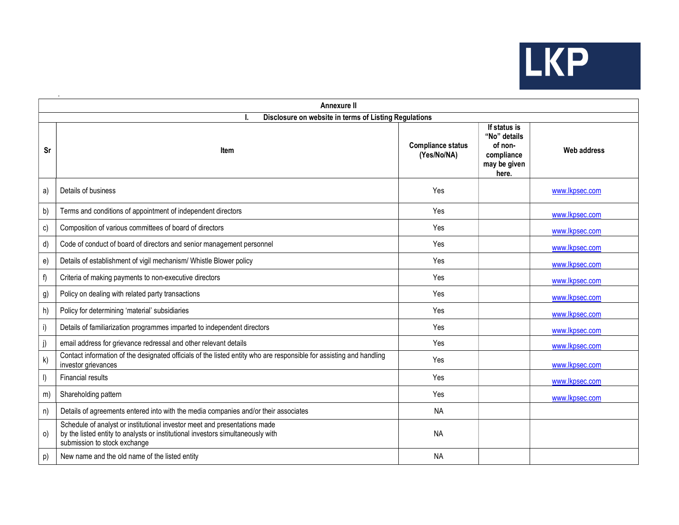

|         | <b>Annexure II</b>                                                                                                                                                                           |                                         |                                                                                |                    |  |  |  |  |
|---------|----------------------------------------------------------------------------------------------------------------------------------------------------------------------------------------------|-----------------------------------------|--------------------------------------------------------------------------------|--------------------|--|--|--|--|
|         | Disclosure on website in terms of Listing Regulations                                                                                                                                        |                                         |                                                                                |                    |  |  |  |  |
| Sr      | Item                                                                                                                                                                                         | <b>Compliance status</b><br>(Yes/No/NA) | If status is<br>"No" details<br>of non-<br>compliance<br>may be given<br>here. | <b>Web address</b> |  |  |  |  |
| a)      | Details of business                                                                                                                                                                          | Yes                                     |                                                                                | www.lkpsec.com     |  |  |  |  |
| b)      | Terms and conditions of appointment of independent directors                                                                                                                                 | Yes                                     |                                                                                | www.lkpsec.com     |  |  |  |  |
| c)      | Composition of various committees of board of directors                                                                                                                                      | Yes                                     |                                                                                | www.lkpsec.com     |  |  |  |  |
| d)      | Code of conduct of board of directors and senior management personnel                                                                                                                        | Yes                                     |                                                                                | www.lkpsec.com     |  |  |  |  |
| e)      | Details of establishment of vigil mechanism/ Whistle Blower policy                                                                                                                           | Yes                                     |                                                                                | www.lkpsec.com     |  |  |  |  |
| f)      | Criteria of making payments to non-executive directors                                                                                                                                       | Yes                                     |                                                                                | www.lkpsec.com     |  |  |  |  |
| g)      | Policy on dealing with related party transactions                                                                                                                                            | Yes                                     |                                                                                | www.lkpsec.com     |  |  |  |  |
| h)      | Policy for determining 'material' subsidiaries                                                                                                                                               | Yes                                     |                                                                                | www.lkpsec.com     |  |  |  |  |
| i)      | Details of familiarization programmes imparted to independent directors                                                                                                                      | Yes                                     |                                                                                | www.lkpsec.com     |  |  |  |  |
| j)      | email address for grievance redressal and other relevant details                                                                                                                             | Yes                                     |                                                                                | www.lkpsec.com     |  |  |  |  |
| k)      | Contact information of the designated officials of the listed entity who are responsible for assisting and handling<br>investor grievances                                                   | Yes                                     |                                                                                | www.lkpsec.com     |  |  |  |  |
| I)      | <b>Financial results</b>                                                                                                                                                                     | Yes                                     |                                                                                | www.lkpsec.com     |  |  |  |  |
| m)      | Shareholding pattern                                                                                                                                                                         | Yes                                     |                                                                                | www.lkpsec.com     |  |  |  |  |
| n)      | Details of agreements entered into with the media companies and/or their associates                                                                                                          | <b>NA</b>                               |                                                                                |                    |  |  |  |  |
| $\circ$ | Schedule of analyst or institutional investor meet and presentations made<br>by the listed entity to analysts or institutional investors simultaneously with<br>submission to stock exchange | <b>NA</b>                               |                                                                                |                    |  |  |  |  |
| p)      | New name and the old name of the listed entity                                                                                                                                               | <b>NA</b>                               |                                                                                |                    |  |  |  |  |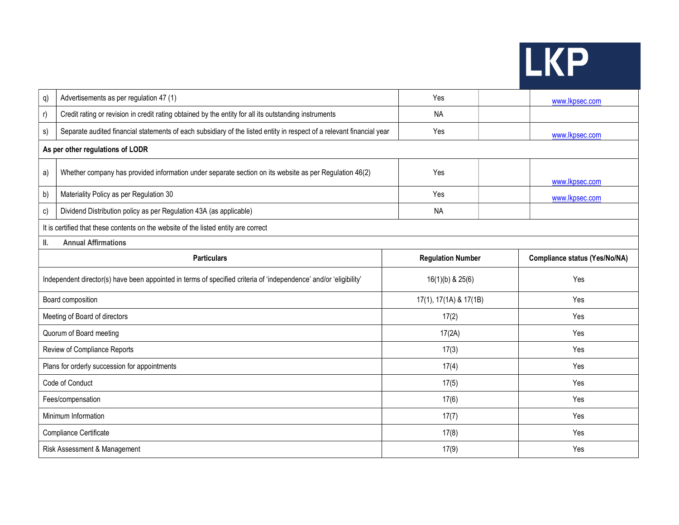|--|--|

| q) | Advertisements as per regulation 47 (1)                                                                               | Yes                      |  | www.lkpsec.com                       |  |  |  |  |
|----|-----------------------------------------------------------------------------------------------------------------------|--------------------------|--|--------------------------------------|--|--|--|--|
| r) | Credit rating or revision in credit rating obtained by the entity for all its outstanding instruments                 | <b>NA</b>                |  |                                      |  |  |  |  |
| s) | Separate audited financial statements of each subsidiary of the listed entity in respect of a relevant financial year | Yes                      |  | www.lkpsec.com                       |  |  |  |  |
|    | As per other regulations of LODR                                                                                      |                          |  |                                      |  |  |  |  |
| a) | Whether company has provided information under separate section on its website as per Regulation 46(2)                | Yes                      |  | www.lkpsec.com                       |  |  |  |  |
| b) | Materiality Policy as per Regulation 30                                                                               | Yes                      |  | www.lkpsec.com                       |  |  |  |  |
| c) | Dividend Distribution policy as per Regulation 43A (as applicable)                                                    | <b>NA</b>                |  |                                      |  |  |  |  |
|    | It is certified that these contents on the website of the listed entity are correct                                   |                          |  |                                      |  |  |  |  |
| Ш. | <b>Annual Affirmations</b>                                                                                            |                          |  |                                      |  |  |  |  |
|    | <b>Particulars</b>                                                                                                    | <b>Regulation Number</b> |  | <b>Compliance status (Yes/No/NA)</b> |  |  |  |  |
|    | Independent director(s) have been appointed in terms of specified criteria of 'independence' and/or 'eligibility'     | $16(1)(b)$ & $25(6)$     |  | Yes                                  |  |  |  |  |
|    | Board composition                                                                                                     | 17(1), 17(1A) & 17(1B)   |  | Yes                                  |  |  |  |  |
|    | Meeting of Board of directors                                                                                         | 17(2)                    |  | Yes                                  |  |  |  |  |
|    | Quorum of Board meeting                                                                                               | 17(2A)                   |  | Yes                                  |  |  |  |  |
|    | Review of Compliance Reports                                                                                          | 17(3)                    |  | Yes                                  |  |  |  |  |
|    | Plans for orderly succession for appointments                                                                         | 17(4)                    |  | Yes                                  |  |  |  |  |
|    | Code of Conduct                                                                                                       | 17(5)                    |  | Yes                                  |  |  |  |  |
|    | Fees/compensation                                                                                                     | 17(6)                    |  | Yes                                  |  |  |  |  |
|    | Minimum Information                                                                                                   | 17(7)                    |  | Yes                                  |  |  |  |  |
|    | Compliance Certificate                                                                                                | 17(8)                    |  | Yes                                  |  |  |  |  |
|    | Risk Assessment & Management                                                                                          | 17(9)                    |  | Yes                                  |  |  |  |  |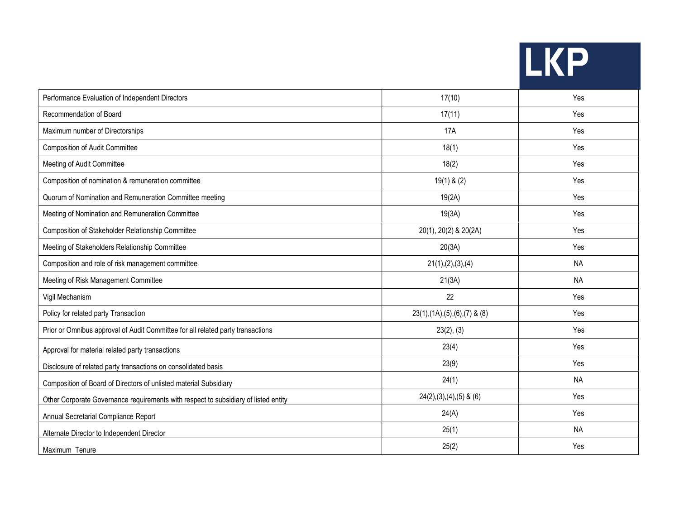| $\mathbf{Z}$<br><b>AND</b> |
|----------------------------|
|----------------------------|

| Performance Evaluation of Independent Directors                                     | 17(10)                             | Yes       |
|-------------------------------------------------------------------------------------|------------------------------------|-----------|
| Recommendation of Board                                                             | 17(11)                             | Yes       |
| Maximum number of Directorships                                                     | <b>17A</b>                         | Yes       |
| <b>Composition of Audit Committee</b>                                               | 18(1)                              | Yes       |
| Meeting of Audit Committee                                                          | 18(2)                              | Yes       |
| Composition of nomination & remuneration committee                                  | $19(1)$ & $(2)$                    | Yes       |
| Quorum of Nomination and Remuneration Committee meeting                             | 19(2A)                             | Yes       |
| Meeting of Nomination and Remuneration Committee                                    | 19(3A)                             | Yes       |
| Composition of Stakeholder Relationship Committee                                   | 20(1), 20(2) & 20(2A)              | Yes       |
| Meeting of Stakeholders Relationship Committee                                      | 20(3A)                             | Yes       |
| Composition and role of risk management committee                                   | 21(1),(2),(3),(4)                  | <b>NA</b> |
| Meeting of Risk Management Committee                                                | 21(3A)                             | <b>NA</b> |
| Vigil Mechanism                                                                     | 22                                 | Yes       |
| Policy for related party Transaction                                                | $23(1), (1A), (5), (6), (7)$ & (8) | Yes       |
| Prior or Omnibus approval of Audit Committee for all related party transactions     | 23(2), (3)                         | Yes       |
| Approval for material related party transactions                                    | 23(4)                              | Yes       |
| Disclosure of related party transactions on consolidated basis                      | 23(9)                              | Yes       |
| Composition of Board of Directors of unlisted material Subsidiary                   | 24(1)                              | <b>NA</b> |
| Other Corporate Governance requirements with respect to subsidiary of listed entity | $24(2),(3),(4),(5)$ & $(6)$        | Yes       |
| Annual Secretarial Compliance Report                                                | 24(A)                              | Yes       |
| Alternate Director to Independent Director                                          | 25(1)                              | <b>NA</b> |
| Maximum Tenure                                                                      | 25(2)                              | Yes       |